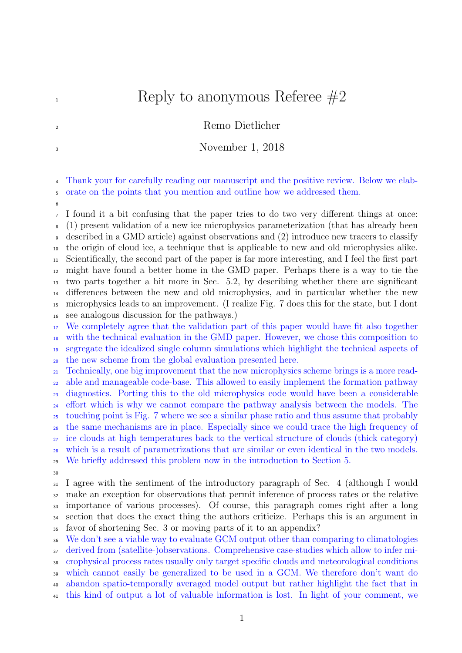## $\mathbb{R}$  Reply to anonymous Referee  $\#2$

## <sup>2</sup> Remo Dietlicher

## <sup>3</sup> November 1, 2018

 Thank your for carefully reading our manuscript and the positive review. Below we elab-orate on the points that you mention and outline how we addressed them.

 I found it a bit confusing that the paper tries to do two very different things at once: (1) present validation of a new ice microphysics parameterization (that has already been described in a GMD article) against observations and (2) introduce new tracers to classify the origin of cloud ice, a technique that is applicable to new and old microphysics alike. Scientifically, the second part of the paper is far more interesting, and I feel the first part might have found a better home in the GMD paper. Perhaps there is a way to tie the two parts together a bit more in Sec. 5.2, by describing whether there are significant differences between the new and old microphysics, and in particular whether the new microphysics leads to an improvement. (I realize Fig. 7 does this for the state, but I dont see analogous discussion for the pathways.)

 We completely agree that the validation part of this paper would have fit also together with the technical evaluation in the GMD paper. However, we chose this composition to segregate the idealized single column simulations which highlight the technical aspects of the new scheme from the global evaluation presented here.

 Technically, one big improvement that the new microphysics scheme brings is a more read- able and manageable code-base. This allowed to easily implement the formation pathway diagnostics. Porting this to the old microphysics code would have been a considerable effort which is why we cannot compare the pathway analysis between the models. The touching point is Fig. 7 where we see a similar phase ratio and thus assume that probably the same mechanisms are in place. Especially since we could trace the high frequency of ice clouds at high temperatures back to the vertical structure of clouds (thick category) which is a result of parametrizations that are similar or even identical in the two models. We briefly addressed this problem now in the introduction to Section 5.

 I agree with the sentiment of the introductory paragraph of Sec. 4 (although I would make an exception for observations that permit inference of process rates or the relative importance of various processes). Of course, this paragraph comes right after a long section that does the exact thing the authors criticize. Perhaps this is an argument in favor of shortening Sec. 3 or moving parts of it to an appendix?

We don't see a viable way to evaluate GCM output other than comparing to climatologies

derived from (satellite-)observations. Comprehensive case-studies which allow to infer mi-

 crophysical process rates usually only target specific clouds and meteorological conditions which cannot easily be generalized to be used in a GCM. We therefore don't want do

abandon spatio-temporally averaged model output but rather highlight the fact that in

this kind of output a lot of valuable information is lost. In light of your comment, we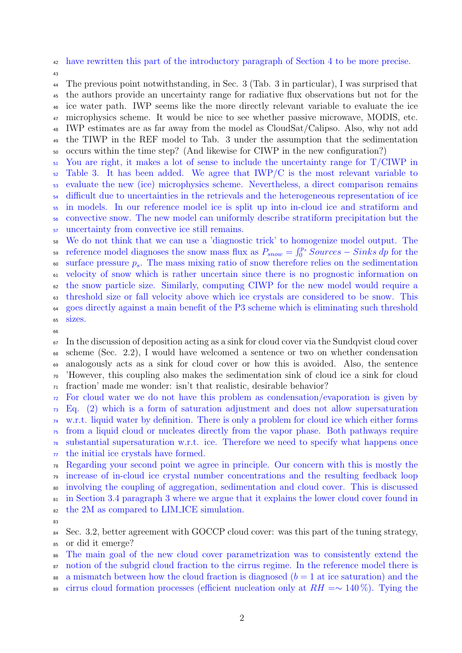have rewritten this part of the introductory paragraph of Section 4 to be more precise.

 The previous point notwithstanding, in Sec. 3 (Tab. 3 in particular), I was surprised that the authors provide an uncertainty range for radiative flux observations but not for the ice water path. IWP seems like the more directly relevant variable to evaluate the ice microphysics scheme. It would be nice to see whether passive microwave, MODIS, etc. IWP estimates are as far away from the model as CloudSat/Calipso. Also, why not add

 the TIWP in the REF model to Tab. 3 under the assumption that the sedimentation occurs within the time step? (And likewise for CIWP in the new configuration?)

 You are right, it makes a lot of sense to include the uncertainty range for T/CIWP in Table 3. It has been added. We agree that IWP/C is the most relevant variable to evaluate the new (ice) microphysics scheme. Nevertheless, a direct comparison remains difficult due to uncertainties in the retrievals and the heterogeneous representation of ice in models. In our reference model ice is split up into in-cloud ice and stratiform and convective snow. The new model can uniformly describe stratiform precipitation but the uncertainty from convective ice still remains.

 We do not think that we can use a 'diagnostic trick' to homogenize model output. The so reference model diagnoses the snow mass flux as  $P_{snow} = \int_0^{p_s} Sources - Sinks dp$  for the  $\infty$  surface pressure  $p_s$ . The mass mixing ratio of snow therefore relies on the sedimentation velocity of snow which is rather uncertain since there is no prognostic information on the snow particle size. Similarly, computing CIWP for the new model would require a threshold size or fall velocity above which ice crystals are considered to be snow. This goes directly against a main benefit of the P3 scheme which is eliminating such threshold sizes.

 $67\;\;$  In the discussion of deposition acting as a sink for cloud cover via the Sundqvist cloud cover scheme (Sec. 2.2), I would have welcomed a sentence or two on whether condensation analogously acts as a sink for cloud cover or how this is avoided. Also, the sentence 'However, this coupling also makes the sedimentation sink of cloud ice a sink for cloud fraction' made me wonder: isn't that realistic, desirable behavior?

 For cloud water we do not have this problem as condensation/evaporation is given by Eq. (2) which is a form of saturation adjustment and does not allow supersaturation w.r.t. liquid water by definition. There is only a problem for cloud ice which either forms from a liquid cloud or nucleates directly from the vapor phase. Both pathways require substantial supersaturation w.r.t. ice. Therefore we need to specify what happens once

the initial ice crystals have formed.

 Regarding your second point we agree in principle. Our concern with this is mostly the increase of in-cloud ice crystal number concentrations and the resulting feedback loop

involving the coupling of aggregation, sedimentation and cloud cover. This is discussed

in Section 3.4 paragraph 3 where we argue that it explains the lower cloud cover found in

82 the 2M as compared to LIM ICE simulation.

84 Sec. 3.2, better agreement with GOCCP cloud cover: was this part of the tuning strategy, or did it emerge?

The main goal of the new cloud cover parametrization was to consistently extend the

notion of the subgrid cloud fraction to the cirrus regime. In the reference model there is

- 88 a mismatch between how the cloud fraction is diagnosed  $(b = 1$  at ice saturation) and the
- 89 cirrus cloud formation processes (efficient nucleation only at  $RH = ∼ 140\%$ ). Tying the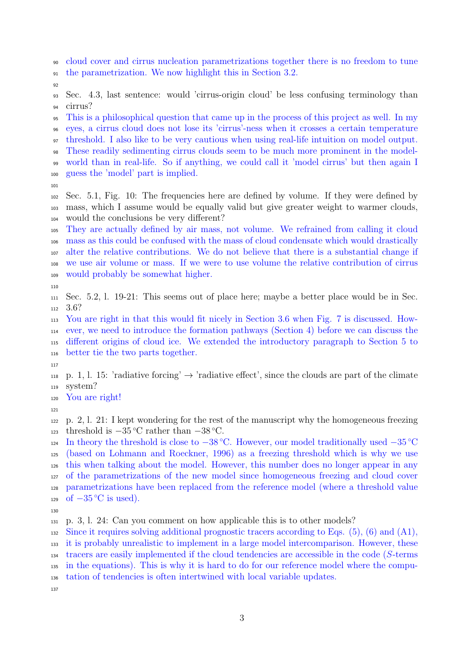cloud cover and cirrus nucleation parametrizations together there is no freedom to tune the parametrization. We now highlight this in Section 3.2.

 Sec. 4.3, last sentence: would 'cirrus-origin cloud' be less confusing terminology than cirrus?

This is a philosophical question that came up in the process of this project as well. In my

eyes, a cirrus cloud does not lose its 'cirrus'-ness when it crosses a certain temperature

<sup>97</sup> threshold. I also like to be very cautious when using real-life intuition on model output.

 These readily sedimenting cirrus clouds seem to be much more prominent in the model-world than in real-life. So if anything, we could call it 'model cirrus' but then again I

- guess the 'model' part is implied.
- 

 Sec. 5.1, Fig. 10: The frequencies here are defined by volume. If they were defined by mass, which I assume would be equally valid but give greater weight to warmer clouds, would the conclusions be very different?

 They are actually defined by air mass, not volume. We refrained from calling it cloud mass as this could be confused with the mass of cloud condensate which would drastically alter the relative contributions. We do not believe that there is a substantial change if we use air volume or mass. If we were to use volume the relative contribution of cirrus would probably be somewhat higher.

 Sec. 5.2, l. 19-21: This seems out of place here; maybe a better place would be in Sec. 3.6?

 You are right in that this would fit nicely in Section 3.6 when Fig. 7 is discussed. How- ever, we need to introduce the formation pathways (Section 4) before we can discuss the different origins of cloud ice. We extended the introductory paragraph to Section 5 to better tie the two parts together.

118 p. 1, l. 15: 'radiative forcing'  $\rightarrow$  'radiative effect', since the clouds are part of the climate system?

You are right!

 p. 2, l. 21: I kept wondering for the rest of the manuscript why the homogeneous freezing threshold is  $-35^{\circ}\text{C}$  rather than  $-38^{\circ}\text{C}$ .

124 In theory the threshold is close to  $-38 °C$ . However, our model traditionally used  $-35 °C$  (based on Lohmann and Roeckner, 1996) as a freezing threshold which is why we use this when talking about the model. However, this number does no longer appear in any of the parametrizations of the new model since homogeneous freezing and cloud cover parametrizations have been replaced from the reference model (where a threshold value of  $-35^{\circ}$ C is used).

p. 3, l. 24: Can you comment on how applicable this is to other models?

Since it requires solving additional prognostic tracers according to Eqs. (5), (6) and (A1),

 it is probably unrealistic to implement in a large model intercomparison. However, these tracers are easily implemented if the cloud tendencies are accessible in the code (S-terms

 in the equations). This is why it is hard to do for our reference model where the compu-tation of tendencies is often intertwined with local variable updates.